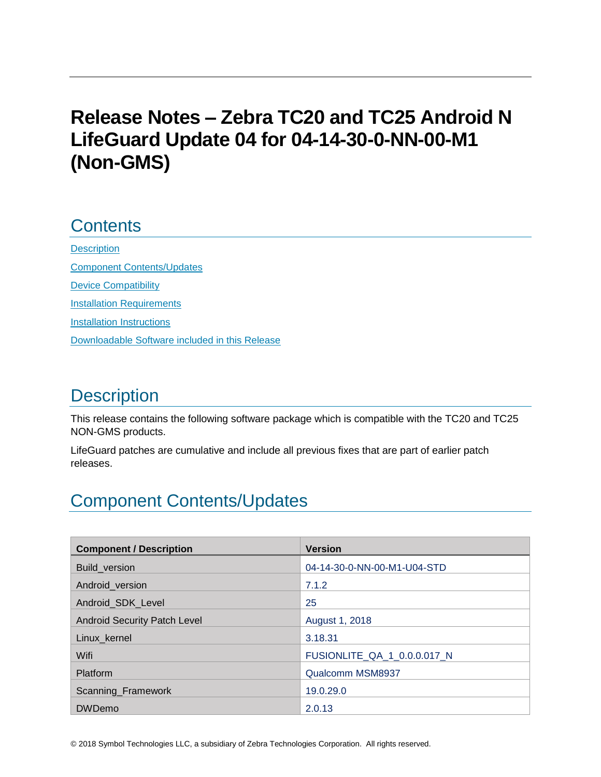# **Release Notes – Zebra TC20 and TC25 Android N LifeGuard Update 04 for 04-14-30-0-NN-00-M1 (Non-GMS)**

## **Contents**

**[Description](#page-0-0)** [Component Contents/Updates](#page-0-1) [Device Compatibility](#page-3-0) [Installation Requirements](#page-4-0) [Installation Instructions](#page-4-1) [Downloadable Software included in this Release](#page-6-0)

# <span id="page-0-0"></span>**Description**

This release contains the following software package which is compatible with the TC20 and TC25 NON-GMS products.

LifeGuard patches are cumulative and include all previous fixes that are part of earlier patch releases.

## <span id="page-0-1"></span>Component Contents/Updates

| <b>Component / Description</b>      | <b>Version</b>              |
|-------------------------------------|-----------------------------|
| <b>Build version</b>                | 04-14-30-0-NN-00-M1-U04-STD |
| Android version                     | 7.1.2                       |
| Android SDK Level                   | 25                          |
| <b>Android Security Patch Level</b> | August 1, 2018              |
| Linux kernel                        | 3.18.31                     |
| Wifi                                | FUSIONLITE_QA_1_0.0.0.017_N |
| Platform                            | Qualcomm MSM8937            |
| Scanning_Framework                  | 19.0.29.0                   |
| <b>DWDemo</b>                       | 2.0.13                      |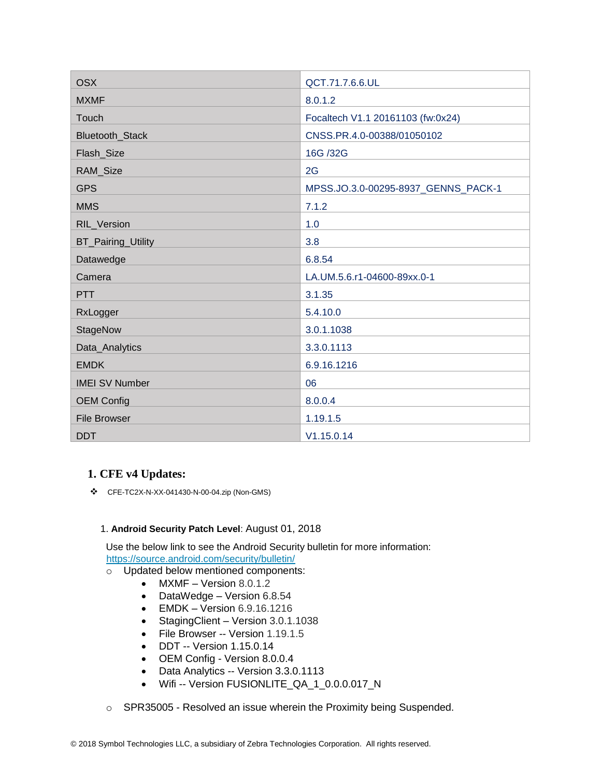| <b>OSX</b>            | QCT.71.7.6.6.UL                     |  |
|-----------------------|-------------------------------------|--|
| <b>MXMF</b>           | 8.0.1.2                             |  |
| Touch                 | Focaltech V1.1 20161103 (fw:0x24)   |  |
| Bluetooth_Stack       | CNSS.PR.4.0-00388/01050102          |  |
| Flash_Size            | 16G /32G                            |  |
| RAM_Size              | 2G                                  |  |
| <b>GPS</b>            | MPSS.JO.3.0-00295-8937_GENNS_PACK-1 |  |
| <b>MMS</b>            | 7.1.2                               |  |
| RIL_Version           | 1.0                                 |  |
| BT_Pairing_Utility    | 3.8                                 |  |
| Datawedge             | 6.8.54                              |  |
| Camera                | LA.UM.5.6.r1-04600-89xx.0-1         |  |
| <b>PTT</b>            | 3.1.35                              |  |
| RxLogger              | 5.4.10.0                            |  |
| StageNow              | 3.0.1.1038                          |  |
| Data_Analytics        | 3.3.0.1113                          |  |
| <b>EMDK</b>           | 6.9.16.1216                         |  |
| <b>IMEI SV Number</b> | 06                                  |  |
| <b>OEM Config</b>     | 8.0.0.4                             |  |
| <b>File Browser</b>   | 1.19.1.5                            |  |
| <b>DDT</b>            | V1.15.0.14                          |  |

### **1. CFE v4 Updates:**

❖ CFE-TC2X-N-XX-041430-N-00-04.zip (Non-GMS)

#### 1. **Android Security Patch Level**: August 01, 2018

Use the below link to see the Android Security bulletin for more information: <https://source.android.com/security/bulletin/>

- o Updated below mentioned components:
	- MXMF Version 8.0.1.2
	- DataWedge Version 6.8.54
	- EMDK Version 6.9.16.1216
	- StagingClient Version 3.0.1.1038
	- File Browser -- Version 1.19.1.5
	- DDT -- Version 1.15.0.14
	- OEM Config Version 8.0.0.4
	- Data Analytics -- Version 3.3.0.1113
	- Wifi -- Version FUSIONLITE\_QA\_1\_0.0.0.017\_N
- o SPR35005 Resolved an issue wherein the Proximity being Suspended.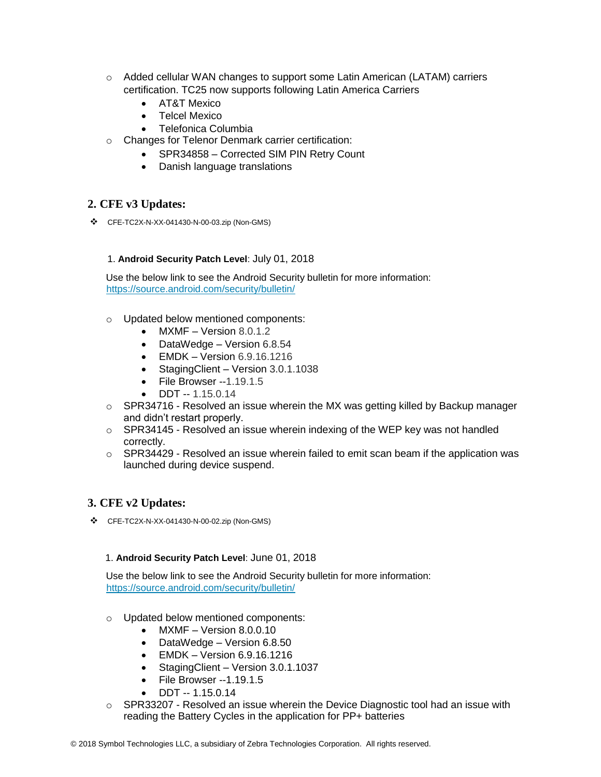- $\circ$  Added cellular WAN changes to support some Latin American (LATAM) carriers certification. TC25 now supports following Latin America Carriers
	- AT&T Mexico
	- Telcel Mexico
	- Telefonica Columbia
- o Changes for Telenor Denmark carrier certification:
	- SPR34858 Corrected SIM PIN Retry Count
	- Danish language translations

### **2. CFE v3 Updates:**

❖ CFE-TC2X-N-XX-041430-N-00-03.zip (Non-GMS)

#### 1. **Android Security Patch Level**: July 01, 2018

Use the below link to see the Android Security bulletin for more information: <https://source.android.com/security/bulletin/>

- o Updated below mentioned components:
	- $MXMF Version 8.0.1.2$
	- DataWedge Version 6.8.54
	- EMDK Version 6.9.16.1216
	- StagingClient Version 3.0.1.1038
	- File Browser --1.19.1.5
	- DDT -- 1.15.0.14
- $\circ$  SPR34716 Resolved an issue wherein the MX was getting killed by Backup manager and didn't restart properly.
- o SPR34145 Resolved an issue wherein indexing of the WEP key was not handled correctly.
- $\circ$  SPR34429 Resolved an issue wherein failed to emit scan beam if the application was launched during device suspend.

### **3. CFE v2 Updates:**

❖ CFE-TC2X-N-XX-041430-N-00-02.zip (Non-GMS)

#### 1. **Android Security Patch Level**: June 01, 2018

Use the below link to see the Android Security bulletin for more information: <https://source.android.com/security/bulletin/>

- o Updated below mentioned components:
	- MXMF Version 8.0.0.10
	- DataWedge Version 6.8.50
	- EMDK Version 6.9.16.1216
	- Staging Client Version 3.0.1.1037
	- File Browser --1.19.1.5
	- DDT -- 1.15.0.14
- $\circ$  SPR33207 Resolved an issue wherein the Device Diagnostic tool had an issue with reading the Battery Cycles in the application for PP+ batteries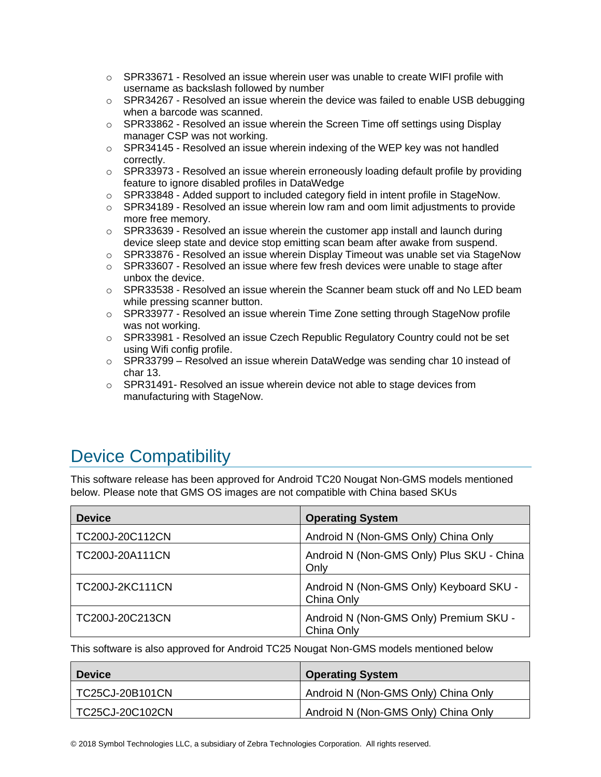- $\circ$  SPR33671 Resolved an issue wherein user was unable to create WIFI profile with username as backslash followed by number
- $\circ$  SPR34267 Resolved an issue wherein the device was failed to enable USB debugging when a barcode was scanned.
- $\circ$  SPR33862 Resolved an issue wherein the Screen Time off settings using Display manager CSP was not working.
- $\circ$  SPR34145 Resolved an issue wherein indexing of the WEP key was not handled correctly.
- $\circ$  SPR33973 Resolved an issue wherein erroneously loading default profile by providing feature to ignore disabled profiles in DataWedge
- o SPR33848 Added support to included category field in intent profile in StageNow.
- $\circ$  SPR34189 Resolved an issue wherein low ram and oom limit adjustments to provide more free memory.
- $\circ$  SPR33639 Resolved an issue wherein the customer app install and launch during device sleep state and device stop emitting scan beam after awake from suspend.
- $\circ$  SPR33876 Resolved an issue wherein Display Timeout was unable set via StageNow
- $\circ$  SPR33607 Resolved an issue where few fresh devices were unable to stage after unbox the device.
- $\circ$  SPR33538 Resolved an issue wherein the Scanner beam stuck off and No LED beam while pressing scanner button.
- $\circ$  SPR33977 Resolved an issue wherein Time Zone setting through StageNow profile was not working.
- $\circ$  SPR33981 Resolved an issue Czech Republic Regulatory Country could not be set using Wifi config profile.
- $\circ$  SPR33799 Resolved an issue wherein DataWedge was sending char 10 instead of char 13.
- $\circ$  SPR31491- Resolved an issue wherein device not able to stage devices from manufacturing with StageNow.

# <span id="page-3-0"></span>Device Compatibility

This software release has been approved for Android TC20 Nougat Non-GMS models mentioned below. Please note that GMS OS images are not compatible with China based SKUs

| <b>Device</b>          | <b>Operating System</b>                               |
|------------------------|-------------------------------------------------------|
| TC200J-20C112CN        | Android N (Non-GMS Only) China Only                   |
| TC200J-20A111CN        | Android N (Non-GMS Only) Plus SKU - China<br>Only     |
| <b>TC200J-2KC111CN</b> | Android N (Non-GMS Only) Keyboard SKU -<br>China Only |
| TC200J-20C213CN        | Android N (Non-GMS Only) Premium SKU -<br>China Only  |

This software is also approved for Android TC25 Nougat Non-GMS models mentioned below

| <b>Device</b>    | <b>Operating System</b>             |
|------------------|-------------------------------------|
| TC25CJ-20B101CN_ | Android N (Non-GMS Only) China Only |
| TC25CJ-20C102CN  | Android N (Non-GMS Only) China Only |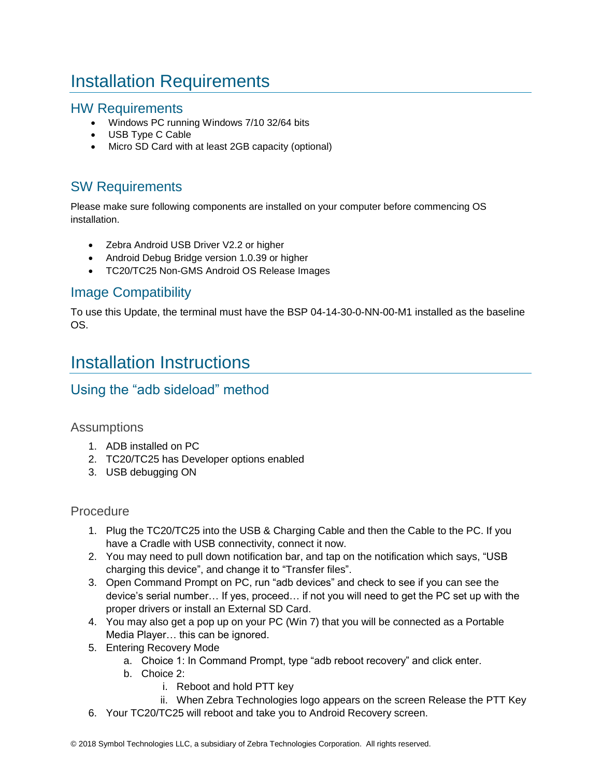# <span id="page-4-0"></span>Installation Requirements

### HW Requirements

- Windows PC running Windows 7/10 32/64 bits
- USB Type C Cable
- Micro SD Card with at least 2GB capacity (optional)

## SW Requirements

Please make sure following components are installed on your computer before commencing OS installation.

- Zebra Android USB Driver V2.2 or higher
- Android Debug Bridge version 1.0.39 or higher
- TC20/TC25 Non-GMS Android OS Release Images

## Image Compatibility

To use this Update, the terminal must have the BSP 04-14-30-0-NN-00-M1 installed as the baseline OS.

## <span id="page-4-1"></span>Installation Instructions

## Using the "adb sideload" method

### **Assumptions**

- 1. ADB installed on PC
- 2. TC20/TC25 has Developer options enabled
- 3. USB debugging ON

### Procedure

- 1. Plug the TC20/TC25 into the USB & Charging Cable and then the Cable to the PC. If you have a Cradle with USB connectivity, connect it now.
- 2. You may need to pull down notification bar, and tap on the notification which says, "USB charging this device", and change it to "Transfer files".
- 3. Open Command Prompt on PC, run "adb devices" and check to see if you can see the device's serial number… If yes, proceed… if not you will need to get the PC set up with the proper drivers or install an External SD Card.
- 4. You may also get a pop up on your PC (Win 7) that you will be connected as a Portable Media Player… this can be ignored.
- 5. Entering Recovery Mode
	- a. Choice 1: In Command Prompt, type "adb reboot recovery" and click enter.
	- b. Choice 2:
		- i. Reboot and hold PTT key
		- ii. When Zebra Technologies logo appears on the screen Release the PTT Key
- 6. Your TC20/TC25 will reboot and take you to Android Recovery screen.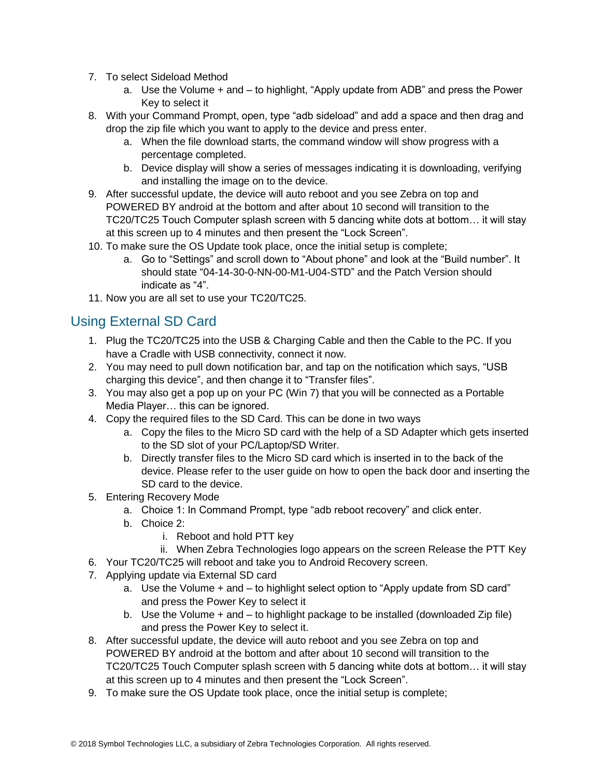- 7. To select Sideload Method
	- a. Use the Volume + and to highlight, "Apply update from ADB" and press the Power Key to select it
- 8. With your Command Prompt, open, type "adb sideload" and add a space and then drag and drop the zip file which you want to apply to the device and press enter.
	- a. When the file download starts, the command window will show progress with a percentage completed.
	- b. Device display will show a series of messages indicating it is downloading, verifying and installing the image on to the device.
- 9. After successful update, the device will auto reboot and you see Zebra on top and POWERED BY android at the bottom and after about 10 second will transition to the TC20/TC25 Touch Computer splash screen with 5 dancing white dots at bottom… it will stay at this screen up to 4 minutes and then present the "Lock Screen".
- 10. To make sure the OS Update took place, once the initial setup is complete;
	- a. Go to "Settings" and scroll down to "About phone" and look at the "Build number". It should state "04-14-30-0-NN-00-M1-U04-STD" and the Patch Version should indicate as "4".
- 11. Now you are all set to use your TC20/TC25.

## Using External SD Card

- 1. Plug the TC20/TC25 into the USB & Charging Cable and then the Cable to the PC. If you have a Cradle with USB connectivity, connect it now.
- 2. You may need to pull down notification bar, and tap on the notification which says, "USB charging this device", and then change it to "Transfer files".
- 3. You may also get a pop up on your PC (Win 7) that you will be connected as a Portable Media Player… this can be ignored.
- 4. Copy the required files to the SD Card. This can be done in two ways
	- a. Copy the files to the Micro SD card with the help of a SD Adapter which gets inserted to the SD slot of your PC/Laptop/SD Writer.
	- b. Directly transfer files to the Micro SD card which is inserted in to the back of the device. Please refer to the user guide on how to open the back door and inserting the SD card to the device.
- 5. Entering Recovery Mode
	- a. Choice 1: In Command Prompt, type "adb reboot recovery" and click enter.
	- b. Choice 2:
		- i. Reboot and hold PTT key
	- ii. When Zebra Technologies logo appears on the screen Release the PTT Key
- 6. Your TC20/TC25 will reboot and take you to Android Recovery screen.
- 7. Applying update via External SD card
	- a. Use the Volume + and to highlight select option to "Apply update from SD card" and press the Power Key to select it
	- b. Use the Volume + and to highlight package to be installed (downloaded Zip file) and press the Power Key to select it.
- 8. After successful update, the device will auto reboot and you see Zebra on top and POWERED BY android at the bottom and after about 10 second will transition to the TC20/TC25 Touch Computer splash screen with 5 dancing white dots at bottom… it will stay at this screen up to 4 minutes and then present the "Lock Screen".
- 9. To make sure the OS Update took place, once the initial setup is complete;